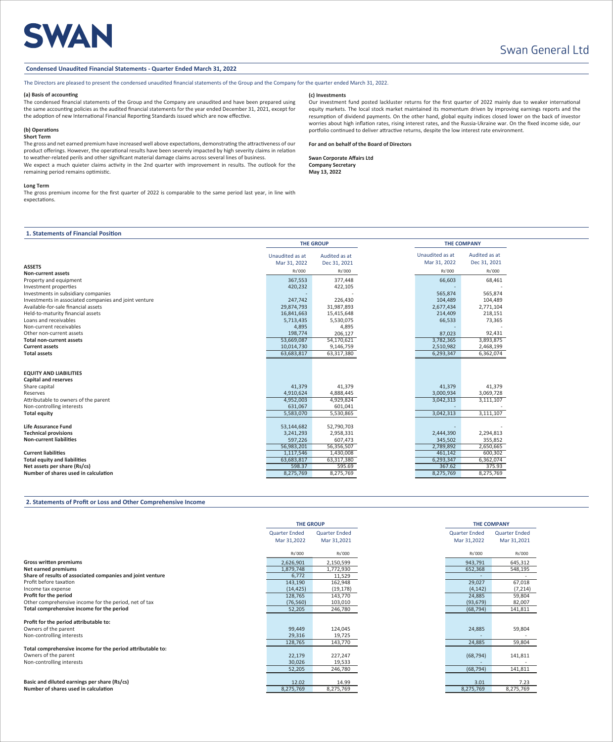# SWAN

## Swan General Ltd

#### **Condensed Unaudited Financial Statements - Quarter Ended March 31, 2022**

The Directors are pleased to present the condensed unaudited financial statements of the Group and the Company for the quarter ended March 31, 2022.

#### **(a) Basis of accounting**

The condensed financial statements of the Group and the Company are unaudited and have been prepared using the same accounting policies as the audited financial statements for the year ended December 31, 2021, except for the adoption of new International Financial Reporting Standards issued which are now effective.

#### **(b) Operations Short Term**

The gross and net earned premium have increased well above expectations, demonstrating the attractiveness of our product offerings. However, the operational results have been severely impacted by high severity claims in relation to weather-related perils and other significant material damage claims across several lines of business. We expect a much quieter claims activity in the 2nd quarter with improvement in results. The outlook for the remaining period remains optimistic.

#### **Long Term**

The gross premium income for the first quarter of 2022 is comparable to the same period last year, in line with expectations.

#### **1. Statements of Financial Position**

|                                                       |                                 | <b>THE GROUP</b>              | <b>THE COMPANY</b>              |                               |  |
|-------------------------------------------------------|---------------------------------|-------------------------------|---------------------------------|-------------------------------|--|
|                                                       | Unaudited as at<br>Mar 31, 2022 | Audited as at<br>Dec 31, 2021 | Unaudited as at<br>Mar 31, 2022 | Audited as at<br>Dec 31, 2021 |  |
| <b>ASSETS</b>                                         | Rs'000                          | Rs'000                        | Rs'000                          | Rs'000                        |  |
| <b>Non-current assets</b>                             |                                 |                               |                                 |                               |  |
| Property and equipment                                | 367,553                         | 377,448                       | 66,603                          | 68,461                        |  |
| Investment properties                                 | 420,232                         | 422,105                       |                                 |                               |  |
| Investments in subsidiary companies                   |                                 |                               | 565,874                         | 565,874                       |  |
| Investments in associated companies and joint venture | 247,742                         | 226,430                       | 104,489                         | 104,489                       |  |
| Available-for-sale financial assets                   | 29,874,793                      | 31,987,893                    | 2,677,434                       | 2,771,104                     |  |
| Held-to-maturity financial assets                     | 16,841,663                      | 15,415,648                    | 214,409                         | 218,151                       |  |
| Loans and receivables                                 | 5,713,435                       | 5,530,075                     | 66,533                          | 73,365                        |  |
| Non-current receivables                               | 4,895                           | 4,895                         |                                 |                               |  |
| Other non-current assets                              | 198,774                         | 206,127                       | 87,023                          | 92,431                        |  |
| <b>Total non-current assets</b>                       | 53,669,087                      | 54,170,621                    | 3,782,365                       | 3,893,875                     |  |
| <b>Current assets</b>                                 | 10,014,730                      | 9,146,759                     | 2,510,982                       | 2,468,199                     |  |
| <b>Total assets</b>                                   | 63,683,817                      | 63,317,380                    | 6,293,347                       | 6,362,074                     |  |
| <b>EQUITY AND LIABILITIES</b>                         |                                 |                               |                                 |                               |  |
| <b>Capital and reserves</b>                           |                                 |                               |                                 |                               |  |
| Share capital                                         | 41,379                          | 41,379                        | 41,379                          | 41,379                        |  |
| Reserves                                              | 4,910,624                       | 4,888,445                     | 3,000,934                       | 3,069,728                     |  |
| Attributable to owners of the parent                  | 4,952,003                       | 4,929,824                     | 3,042,313                       | 3,111,107                     |  |
| Non-controlling interests                             | 631,067                         | 601,041                       |                                 |                               |  |
| <b>Total equity</b>                                   | 5,583,070                       | 5,530,865                     | 3,042,313                       | 3,111,107                     |  |
| <b>Life Assurance Fund</b>                            | 53,144,682                      | 52,790,703                    |                                 |                               |  |
| <b>Technical provisions</b>                           | 3,241,293                       | 2,958,331                     | 2,444,390                       | 2,294,813                     |  |
| <b>Non-current liabilities</b>                        | 597,226                         | 607,473                       | 345,502                         | 355,852                       |  |
|                                                       | 56,983,201                      | 56,356,507                    | 2,789,892                       | 2,650,665                     |  |
| <b>Current liabilities</b>                            | 1,117,546                       | 1,430,008                     | 461,142                         | 600,302                       |  |
| <b>Total equity and liabilities</b>                   | 63,683,817                      | 63,317,380                    | 6,293,347                       | 6,362,074                     |  |
| Net assets per share (Rs/cs)                          | 598.37                          | 595.69                        | 367.62                          | 375.93                        |  |
| Number of shares used in calculation                  | 8,275,769                       | 8,275,769                     | 8,275,769                       | 8,275,769                     |  |

#### **2. Statements of Profit or Loss and Other Comprehensive Income**

|                                                            | <b>THE GROUP</b>     |                      |                      | <b>THE COMPANY</b>   |
|------------------------------------------------------------|----------------------|----------------------|----------------------|----------------------|
|                                                            | <b>Quarter Ended</b> | <b>Quarter Ended</b> | <b>Quarter Ended</b> | <b>Quarter Ended</b> |
|                                                            | Mar 31,2022          | Mar 31,2021          | Mar 31,2022          | Mar 31,2021          |
|                                                            | Rs'000               | Rs'000               | Rs'000               | Rs'000               |
| <b>Gross written premiums</b>                              | 2,626,901            | 2,150,599            | 943,791              | 645,312              |
| Net earned premiums                                        | 1,879,748            | 1,772,930            | 652,368              | 548,195              |
| Share of results of associated companies and joint venture | 6,772                | 11,529               |                      |                      |
| Profit before taxation                                     | 143,190              | 162,948              | 29,027               | 67,018               |
| Income tax expense                                         | (14, 425)            | (19, 178)            | (4, 142)             | (7, 214)             |
| Profit for the period                                      | 128,765              | 143,770              | 24,885               | 59,804               |
| Other comprehensive income for the period, net of tax      | (76, 560)            | 103,010              | (93, 679)            | 82,007               |
| Total comprehensive income for the period                  | 52,205               | 246,780              | (68, 794)            | 141,811              |
| Profit for the period attributable to:                     |                      |                      |                      |                      |
| Owners of the parent                                       | 99,449               | 124,045              | 24,885               | 59,804               |
| Non-controlling interests                                  | 29,316               | 19,725               |                      |                      |
|                                                            | 128,765              | 143,770              | 24,885               | 59,804               |
| Total comprehensive income for the period attributable to: |                      |                      |                      |                      |
| Owners of the parent                                       | 22,179               | 227,247              | (68, 794)            | 141,811              |
| Non-controlling interests                                  | 30,026               | 19,533               |                      |                      |
|                                                            | 52,205               | 246,780              | (68, 794)            | 141,811              |
|                                                            |                      |                      |                      |                      |
| Basic and diluted earnings per share (Rs/cs)               | 12.02                | 14.99                | 3.01                 | 7.23                 |
| Number of shares used in calculation                       | 8,275,769            | 8,275,769            | 8,275,769            | 8,275,769            |

#### **(c) Investments**

Our investment fund posted lackluster returns for the first quarter of 2022 mainly due to weaker international equity markets. The local stock market maintained its momentum driven by improving earnings reports and the resumption of dividend payments. On the other hand, global equity indices closed lower on the back of investor worries about high inflation rates, rising interest rates, and the Russia-Ukraine war. On the fixed income side, our portfolio continued to deliver attractive returns, despite the low interest rate environment.

**For and on behalf of the Board of Directors**

**Swan Corporate Affairs Ltd Company Secretary May 13, 2022**